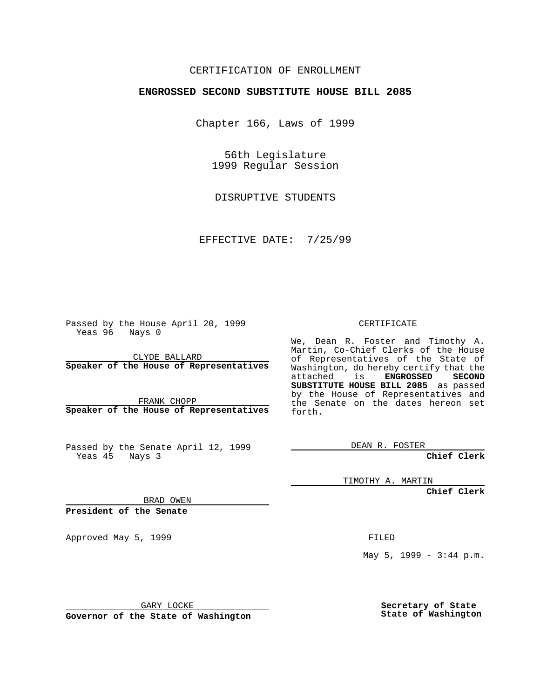## CERTIFICATION OF ENROLLMENT

# **ENGROSSED SECOND SUBSTITUTE HOUSE BILL 2085**

Chapter 166, Laws of 1999

56th Legislature 1999 Regular Session

DISRUPTIVE STUDENTS

EFFECTIVE DATE: 7/25/99

Passed by the House April 20, 1999 Yeas 96 Nays 0

CLYDE BALLARD **Speaker of the House of Representatives**

FRANK CHOPP **Speaker of the House of Representatives**

Passed by the Senate April 12, 1999 Yeas 45 Nays 3

CERTIFICATE

We, Dean R. Foster and Timothy A. Martin, Co-Chief Clerks of the House of Representatives of the State of Washington, do hereby certify that the<br>attached is **ENGROSSED SECOND** attached is **SUBSTITUTE HOUSE BILL 2085** as passed by the House of Representatives and the Senate on the dates hereon set forth.

DEAN R. FOSTER

**Chief Clerk**

TIMOTHY A. MARTIN

**Chief Clerk**

BRAD OWEN

**President of the Senate**

Approved May 5, 1999 **FILED** 

May 5, 1999 - 3:44 p.m.

GARY LOCKE

**Governor of the State of Washington**

**Secretary of State State of Washington**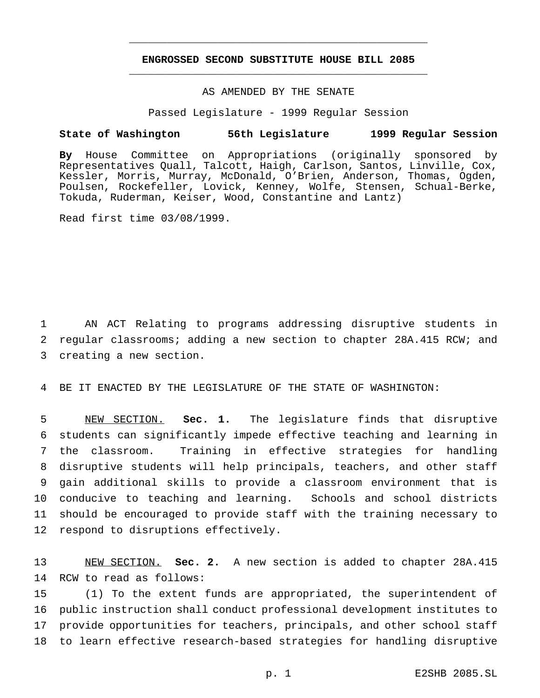## **ENGROSSED SECOND SUBSTITUTE HOUSE BILL 2085** \_\_\_\_\_\_\_\_\_\_\_\_\_\_\_\_\_\_\_\_\_\_\_\_\_\_\_\_\_\_\_\_\_\_\_\_\_\_\_\_\_\_\_\_\_\_\_

\_\_\_\_\_\_\_\_\_\_\_\_\_\_\_\_\_\_\_\_\_\_\_\_\_\_\_\_\_\_\_\_\_\_\_\_\_\_\_\_\_\_\_\_\_\_\_

### AS AMENDED BY THE SENATE

Passed Legislature - 1999 Regular Session

#### **State of Washington 56th Legislature 1999 Regular Session**

**By** House Committee on Appropriations (originally sponsored by Representatives Quall, Talcott, Haigh, Carlson, Santos, Linville, Cox, Kessler, Morris, Murray, McDonald, O'Brien, Anderson, Thomas, Ogden, Poulsen, Rockefeller, Lovick, Kenney, Wolfe, Stensen, Schual-Berke, Tokuda, Ruderman, Keiser, Wood, Constantine and Lantz)

Read first time 03/08/1999.

1 AN ACT Relating to programs addressing disruptive students in 2 regular classrooms; adding a new section to chapter 28A.415 RCW; and 3 creating a new section.

4 BE IT ENACTED BY THE LEGISLATURE OF THE STATE OF WASHINGTON:

 NEW SECTION. **Sec. 1.** The legislature finds that disruptive students can significantly impede effective teaching and learning in the classroom. Training in effective strategies for handling disruptive students will help principals, teachers, and other staff gain additional skills to provide a classroom environment that is conducive to teaching and learning. Schools and school districts should be encouraged to provide staff with the training necessary to respond to disruptions effectively.

13 NEW SECTION. **Sec. 2.** A new section is added to chapter 28A.415 14 RCW to read as follows:

 (1) To the extent funds are appropriated, the superintendent of public instruction shall conduct professional development institutes to provide opportunities for teachers, principals, and other school staff to learn effective research-based strategies for handling disruptive